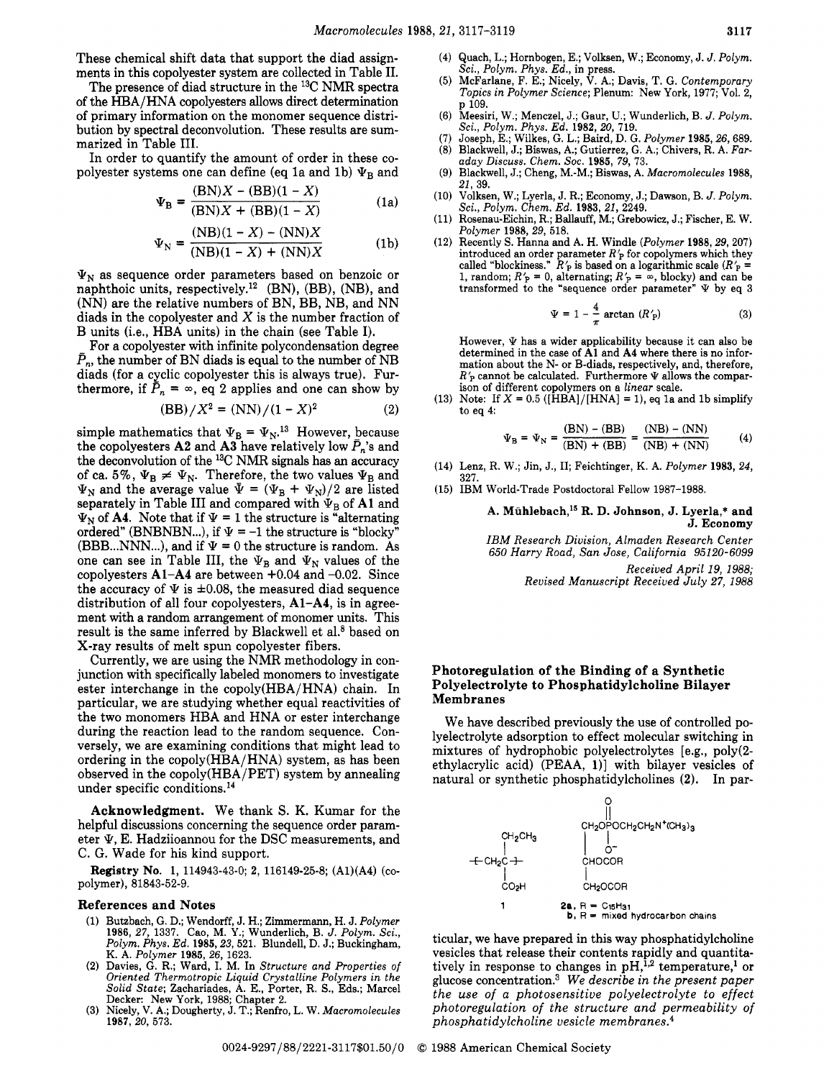These chemical shift data that support the diad assignments in this copolyester system are collected in Table 11.

The presence of diad structure in the 13C NMR spectra of the HBA/HNA copolyesters allows direct determination of primary information on the monomer sequence distribution by spectral deconvolution. These results are summarized in Table 111.

In order to quantify the amount of order in these copolyester systems one can define (eq 1a and 1b)  $\Psi_B$  and

$$
\Psi_{\mathbf{B}} = \frac{(\mathbf{BN})X - (\mathbf{BB})(1 - X)}{(\mathbf{BN})X + (\mathbf{BB})(1 - X)}
$$
(1a)

$$
\Psi_{N} = \frac{(NB)(1 - X) - (NN)X}{(NB)(1 - X) + (NN)X}
$$
 (1b)

 $\Psi_N$  as sequence order parameters based on benzoic or naphthoic units, respectively.12 (BN), (BB), (NB), and (NN) are the relative numbers of BN, BB, NB, and NN diads in the copolyester and  $X$  is the number fraction of B units (i.e., HBA units) in the chain (see Table I).

For a copolyester with infinite polycondensation degree  $\bar{P}_n$ , the number of BN diads is equal to the number of NB diads (for a cyclic copolyester this is always true). Furthermore, if  $\bar{P}_n = \infty$ , eq 2 applies and one can show by

$$
(BB)/X^2 = (NN)/(1 - X)^2
$$
 (2)

simple mathematics that  $\Psi_B = \Psi_N$ .<sup>13</sup> However, because the copolyesters **A2** and **A3** have relatively low  $\bar{P}_n$ 's and the deconvolution of the <sup>13</sup>C NMR signals has an accuracy of ca. 5%,  $\Psi_B \neq \Psi_N$ . Therefore, the two values  $\Psi_B$  and  $\Psi_N$  and the average value  $\bar{\Psi} = (\Psi_B + \Psi_N)/2$  are listed separately in Table III and compared with  $\Psi_B$  of A1 and  $\Psi_N$  of **A4.** Note that if  $\Psi = 1$  the structure is "alternating" ordered" (BNBNBN...), if  $\Psi = -1$  the structure is "blocky" (BBB...NNN...), and if  $\Psi = 0$  the structure is random. As one can see in Table III, the  $\Psi_B$  and  $\Psi_N$  values of the copolyesters **Al-A4** are between +0.04 and -0.02. Since the accuracy of  $\Psi$  is  $\pm 0.08$ , the measured diad sequence distribution of all four copolyesters, **A1-A4,** is in agreement with a random arrangement of monomer units. This result is the same inferred by Blackwell et al.<sup>8</sup> based on X-ray results of melt spun copolyester fibers.

Currently, we are using the NMR methodology in conjunction with specifically labeled monomers to investigate ester interchange in the copoly(HBA/HNA) chain. In particular, we are studying whether equal reactivities of the two monomers HBA and HNA or ester interchange during the reaction lead to the random sequence. Conversely, we are examining conditions that might lead to ordering in the copoly(HBA/HNA) system, as has been observed in the copoly(HBA/PET) system by annealing under specific conditions. $^{14}$ 

**Acknowledgment.** We thank S. K. Kumar for the eter  $\Psi$ , E. Hadziioannou for the DSC measurements, and C. G. Wade for his kind support. helpful discussions concerning the sequence order param-<br>oter  $\Psi \to \text{Bedrion}$  CH<sub>2</sub>CH<sub>3</sub>CH<sub>2</sub>

**Registry No. 1,** 114943-43-0; **2,** 116149-25-8; (Al)(A4) *(co*polymer), 81843-52-9.

### **References and Notes** 1 **1**

- **Butzbach, G. D.; Wendorff, J. H.; Zimmermann, H. J.** *Polymer*  **1986, 27, 1337. Cao, M. Y.; Wunderlich, B.** *J. Polym. Sci., Polym. Phys. Ed.* **1985,23, 521. Blundell, D. J.; Buckingham, K. A.** *Polymer* **1985, 26, 1623.**
- **Davies,** *G.* **R.; Ward, I. M. In** *Structure and Properties of Oriented Thermotropic Liquid Crystalline Polymers in the Solid State;* **Zachariades, A. E., Porter, R. S., Eds.; Marcel**
- **Decker: New York, 1988; Chapter 2. Nicely, V. A.; Dougherty, J. T.; Renfro, L. W.** *Macromolecules*   $(3)$ **1987, 20, 573.**
- (4) Quach, L.; Hornbogen, E.; Volksen, W.; Economy, J. *J. Polym. &i., Polym. Phys.-Ed.,* **in press.**
- **(5) McFarlane. F. E.: Nicelv. V. A.: Davis. T. G.** *Contemmrarv* ' *Topics in Polymer Science;* **Plenum: New York, 1977;'Vol.** *i,*  **p 109.**
- **(6) Meesiri, W.; Menczel, J.; Gaur, U.; Wunderlich, B.** *J. Polym. Sci., Polym. Phys. Ed.* **1982, 20, 719.**
- **(7) Joseph, E.; Wilkes, G. L.; Baird, D. G.** *Polymer* **1985,26, 689. (8) Blackwell, J.; Biswas, A.; Gutierrez, G. A.; Chivers, R. A.** *Far-*
- *aday Discuss. Chem. SOC.* **1985, 79, 73. (9) Blackwell, J.; Cheng, M.-M.; Biswas, A.** *Macromolecules* **1988,**
- **21, 39.**
- **(10) Volksen, W.; Lyerla, J. R.; Economy, J.; Dawson, B.** *J. Polym. Sci., Polym. Chem. Ed.* **1983, 21, 2249.**
- **(11) Rosenau-Eichin, R.; Ballauff, M.; Grebowicz, J.; Fischer, E. W.**  *Polymer* **1988, 29, 518.**
- **(12) Recently S. Hanna and A. H. Windle** *(Polymer* **1988,29,207)**  introduced an order parameter  $R'$  for copolymers which they called "blockiness."  $R'$  is based on a logarithmic scale  $(R'$  = 1, random;  $R'$  = 0, alternating;  $R'$  =  $\infty$ , blocky) and can be transformed to the "sequence order parameter"  $\Psi$  by eq 3

$$
\Psi = 1 - \frac{4}{\pi} \arctan (R'_{\text{P}})
$$
 (3)

However,  $\Psi$  has a wider applicability because it can also be **determined in the case of A1 and A4 where there is no information about the N- or B-diads, respectively, and, therefore,**   $R'_P$  cannot be calculated. Furthermore  $\Psi$  allows the compar**ison of different copolymers on a** *linear* **scale.** 

(13) Note: If  $X = 0.5$  ([HBA]/[HNA] = 1), eq 1a and 1b simplify **to eq 4:** 

$$
\Psi_{\rm B} = \Psi_{\rm N} = \frac{({\rm BN}) - ({\rm BB})}{({\rm BN}) + ({\rm BB})} = \frac{({\rm NB}) - ({\rm NN})}{({\rm NB}) + ({\rm NN})} \eqno(4)
$$

- **(14) Lenz, R. W.; Jin, J., 11; Feichtinger, K. A.** *Polymer* **1983, 24, 327.**
- **(15) IBM World-Trade Postdoctoral Fellow 1987-1988.**

## A. Mühlebach,<sup>15</sup> R. D. Johnson, J. Lyerla,\* and **J. Economy**

*IBM Research Division, Almaden Research Center*  **650** *Harry Road, San Jose, California* **95120-6099**  *Received April* **19, 1988;**  *Revised Manuscript Received July* **27, 1988** 

# **Photoregulation of the Binding of a Synthetic Polyelectrolyte to Phosphatidylcholine Bilayer Membranes**

We have described previously the use of controlled polyelectrolyte adsorption to effect molecular switching in mixtures of hydrophobic polyelectrolytes [e.g., poly(2 ethylacrylic acid) (PEAA, **l)]** with bilayer vesicles of natural or synthetic phosphatidylcholines **(2).** In par-



ticular, we have prepared in this way phosphatidylcholine vesicles that release their contents rapidly and quantitatively in response to changes in  $pH$ ,<sup>1,2</sup> temperature,<sup>1</sup> or glucose concentration.<sup>3</sup> We describe in the present paper *the use of a photosensitive polyelectrolyte to effect photoregulation of the structure and permeability of phosphatidylcholine vesicle membranes.*<sup>4</sup>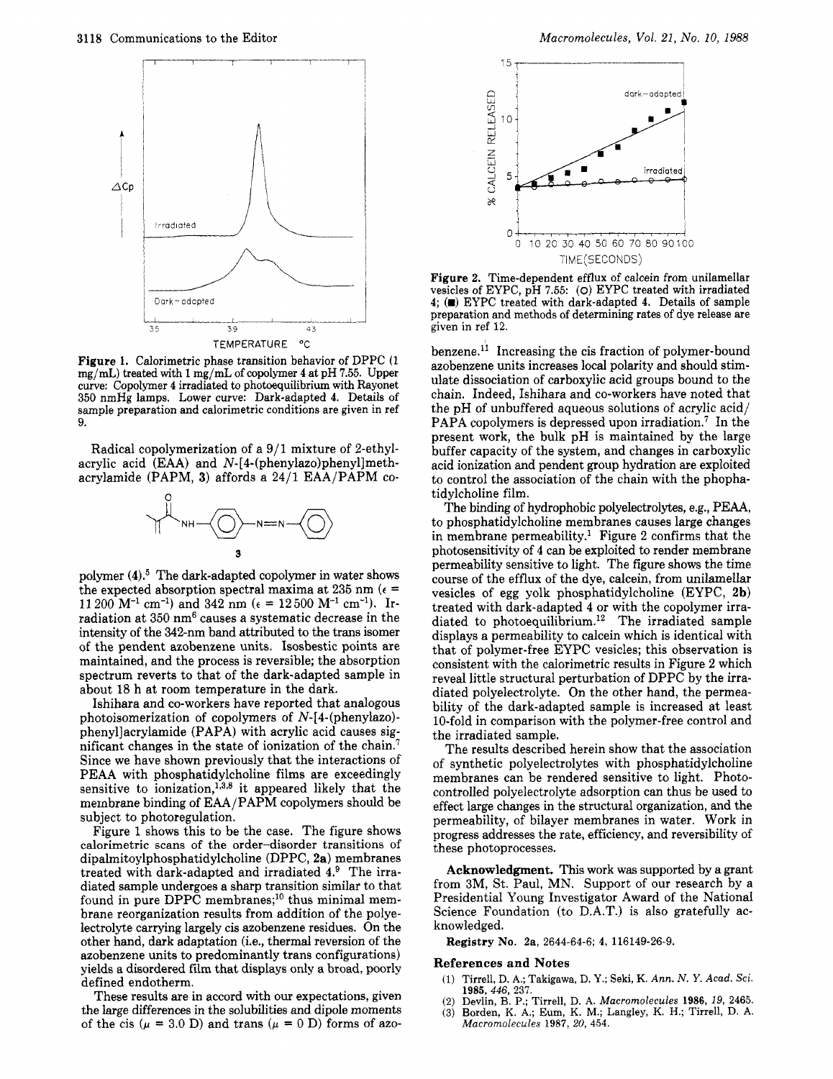

**Figure 1.** Calorimetric phase transition behavior of DPPC (1 mg/mL) treated with 1 mg/mL **of** copolymer **4** at pH *7.55.* Upper curve: Copolymer **4** irradiated to photoequilibrium with Rayonet **350** nmHg lamps. Lower curve: Dark-adapted **4.** Details of sample preparation and calorimetric conditions are given in ref 9.

Radical copolymerization of a  $9/1$  mixture of 2-ethylacrylic acid (EAA) and **N-[4-(phenylazo)phenyl]meth**acrylamide (PAPM, **3)** affords a 2411 EAAJPAPM co-



polymer (4).<sup>5</sup> The dark-adapted copolymer in water shows the expected absorption spectral maxima at 235 nm ( $\epsilon$  = 11 200 M<sup>-1</sup> cm<sup>-1</sup>) and 342 nm ( $\epsilon = 12500$  M<sup>-1</sup> cm<sup>-1</sup>). Irradiation at 350 nm<sup>6</sup> causes a systematic decrease in the intensity of the 342-nm band attributed **to** the trans isomer of the pendent azobenzene units. Isosbestic points are maintained, and the process is reversible; the absorption spectrum reverts to that of the dark-adapted sample in about 18 h at room temperature in the dark.

Ishihara and co-workers have reported that analogous photoisomerization of copolymers of N-[4-(phenylazo) phenyllacrylamide (PAPA) with acrylic acid causes significant changes in the state of ionization of the chain.' Since we have shown previously that the interactions of PEAA with phosphatidylcholine films are exceedingly sensitive to ionization,<sup>1,3,8</sup> it appeared likely that the membrane binding of EAA/PAPM copolymers should be subject to photoregulation.

Figure 1 shows this to be the case. The figure shows calorimetric scans of the order-disorder transitions of **dipalmitoylphosphatidylcholine** (DPPC, **2a)** membranes treated with dark-adapted and irradiated **4.9** The irradiated sample undergoes a sharp transition similar to that found in pure  $DPP\tilde{C}$  membranes;<sup>10</sup> thus minimal membrane reorganization results from addition of the polyelectrolyte carrying largely cis azobenzene residues. On the other hand, dark adaptation (i.e., thermal reversion of the azobenzene units to predominantly trans configurations) yields a disordered film that displays only a broad, poorly defined endotherm.

These results are in accord with our expectations, given the large differences in the solubilities and dipole moments of the cis  $(\mu = 3.0 \text{ D})$  and trans  $(\mu = 0 \text{ D})$  forms of azo-



**Figure 2.** Time-dependent efflux of calcein from unilamellar vesicles of EYPC, pH **7.55:** *(0)* EYPC treated with irradiated preparation and methods of determining rates of dye release are given in ref 12.

benzene.<sup>11</sup> Increasing the cis fraction of polymer-bound azobenzene units increases local polarity and should stimulate dissociation of carboxylic acid groups bound to the chain. Indeed, Ishihara and co-workers have noted that the pH of unbuffered aqueous solutions of acrylic acid/ PAPA copolymers is depressed upon irradiation.<sup>7</sup> In the present work, the bulk pH is maintained by the large buffer capacity of the system, and changes in carboxylic acid ionization and pendent group hydration are exploited to control the association of the chain with the phophatidylcholine film.

The binding of hydrophobic polyelectrolytes, e.g., PEAA, to phosphatidylcholine membranes causes large changes in membrane permeability.<sup>1</sup> Figure 2 confirms that the photosensitivity of **4** can be exploited to render membrane permeability sensitive to light. The figure shows the time course of the efflux of the dye, calcein, from unilamellar vesicles of egg yolk phosphatidylcholine (EYPC, **2b)**  treated with dark-adapted **4** or with the copolymer irradiated to photoequilibrium.<sup>12</sup> The irradiated sample displays a permeability to calcein which is identical with that of polymer-free EYPC vesicles; this observation is consistent with the calorimetric results in Figure **2** which reveal little structural perturbation of DPPC by the irradiated polyelectrolyte. On the other hand, the permeability of the dark-adapted sample is increased at least 10-fold in comparison with the polymer-free control and the irradiated sample.

The results described herein show that the association of synthetic polyelectrolytes with phosphatidylcholine membranes can be rendered sensitive to light. Photocontrolled polyelectrolyte adsorption can thus be used to effect large changes in the structural organization, and the permeability, of bilayer membranes in water. Work in progress addresses the rate, efficiency, and reversibility of these photoprocesses.

**Acknowledgment.** This work was supported by a grant from 3M, St. Paul, MN. Support of our research by a Presidential Young Investigator Award of the National Science Foundation (to D.A.T.) is also gratefully acknowledged.

**Registry No. 2a, 2644-64-6; 4, 116149-26-9.** 

#### **References and Notes**

- (1) Tirrell, D. **A.;** Takigawa, D. **Y.;** Seki, K. **Ann.** *N. Y. Acad. Sci. 1985,446, 237.*
- *(2)* Devlin, B. P.; Tirrell, D. **A.** *Macromolecules* **1986,** *19,* **2465.**
- **(3)** Borden, K. **A,;** Eum, K. M.; Langley, K. H.; Tirrell, D. **A.**  *Macromolecules* **1987,** *20,* **454.**